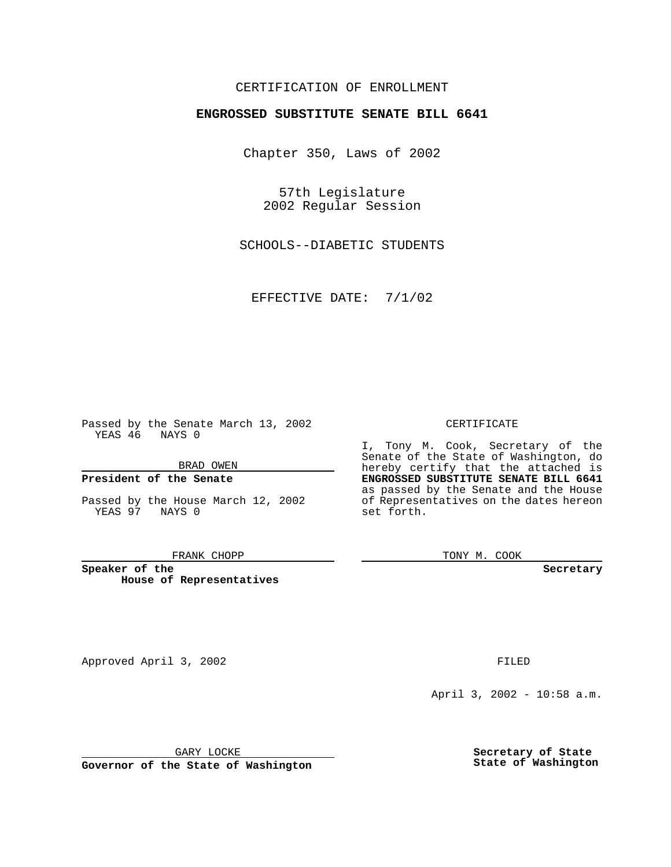## CERTIFICATION OF ENROLLMENT

# **ENGROSSED SUBSTITUTE SENATE BILL 6641**

Chapter 350, Laws of 2002

57th Legislature 2002 Regular Session

SCHOOLS--DIABETIC STUDENTS

EFFECTIVE DATE: 7/1/02

Passed by the Senate March 13, 2002 YEAS 46 NAYS 0

BRAD OWEN

### **President of the Senate**

Passed by the House March 12, 2002 YEAS 97 NAYS 0

#### FRANK CHOPP

**Speaker of the House of Representatives** CERTIFICATE

I, Tony M. Cook, Secretary of the Senate of the State of Washington, do hereby certify that the attached is **ENGROSSED SUBSTITUTE SENATE BILL 6641** as passed by the Senate and the House of Representatives on the dates hereon set forth.

TONY M. COOK

**Secretary**

Approved April 3, 2002 **FILED** 

April 3, 2002 - 10:58 a.m.

GARY LOCKE

**Governor of the State of Washington**

**Secretary of State State of Washington**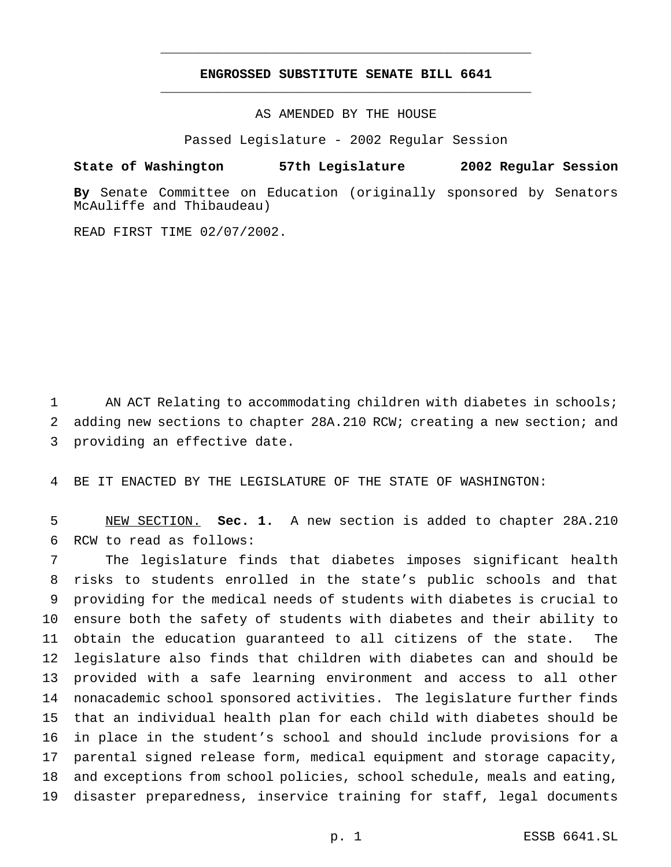## **ENGROSSED SUBSTITUTE SENATE BILL 6641** \_\_\_\_\_\_\_\_\_\_\_\_\_\_\_\_\_\_\_\_\_\_\_\_\_\_\_\_\_\_\_\_\_\_\_\_\_\_\_\_\_\_\_\_\_\_\_

\_\_\_\_\_\_\_\_\_\_\_\_\_\_\_\_\_\_\_\_\_\_\_\_\_\_\_\_\_\_\_\_\_\_\_\_\_\_\_\_\_\_\_\_\_\_\_

AS AMENDED BY THE HOUSE

Passed Legislature - 2002 Regular Session

### **State of Washington 57th Legislature 2002 Regular Session**

**By** Senate Committee on Education (originally sponsored by Senators McAuliffe and Thibaudeau)

READ FIRST TIME 02/07/2002.

1 AN ACT Relating to accommodating children with diabetes in schools; adding new sections to chapter 28A.210 RCW; creating a new section; and providing an effective date.

BE IT ENACTED BY THE LEGISLATURE OF THE STATE OF WASHINGTON:

 NEW SECTION. **Sec. 1.** A new section is added to chapter 28A.210 RCW to read as follows:

 The legislature finds that diabetes imposes significant health risks to students enrolled in the state's public schools and that providing for the medical needs of students with diabetes is crucial to ensure both the safety of students with diabetes and their ability to obtain the education guaranteed to all citizens of the state. The legislature also finds that children with diabetes can and should be provided with a safe learning environment and access to all other nonacademic school sponsored activities. The legislature further finds that an individual health plan for each child with diabetes should be in place in the student's school and should include provisions for a parental signed release form, medical equipment and storage capacity, and exceptions from school policies, school schedule, meals and eating, disaster preparedness, inservice training for staff, legal documents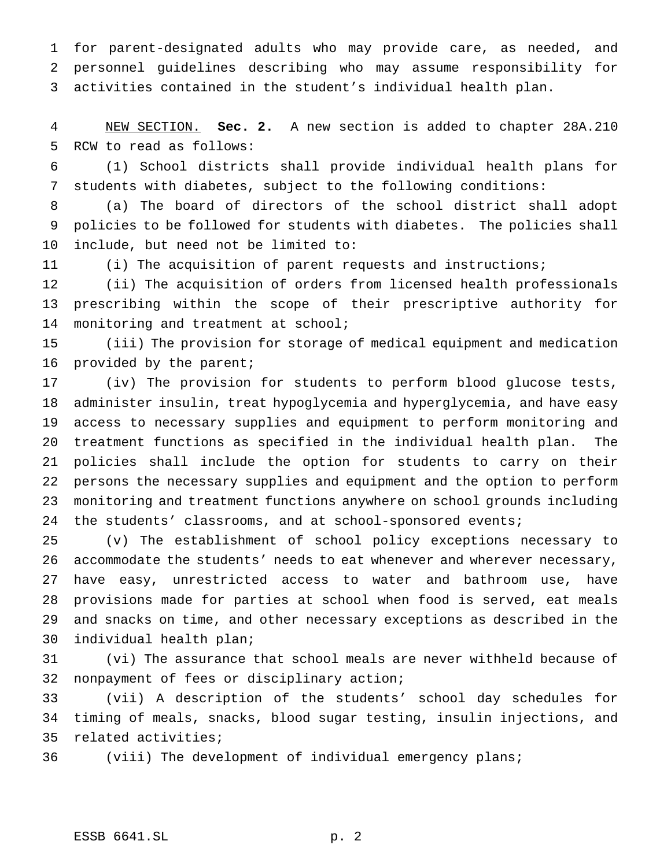for parent-designated adults who may provide care, as needed, and personnel guidelines describing who may assume responsibility for activities contained in the student's individual health plan.

 NEW SECTION. **Sec. 2.** A new section is added to chapter 28A.210 RCW to read as follows:

 (1) School districts shall provide individual health plans for students with diabetes, subject to the following conditions:

 (a) The board of directors of the school district shall adopt policies to be followed for students with diabetes. The policies shall include, but need not be limited to:

(i) The acquisition of parent requests and instructions;

 (ii) The acquisition of orders from licensed health professionals prescribing within the scope of their prescriptive authority for monitoring and treatment at school;

 (iii) The provision for storage of medical equipment and medication 16 provided by the parent;

 (iv) The provision for students to perform blood glucose tests, administer insulin, treat hypoglycemia and hyperglycemia, and have easy access to necessary supplies and equipment to perform monitoring and treatment functions as specified in the individual health plan. The policies shall include the option for students to carry on their persons the necessary supplies and equipment and the option to perform monitoring and treatment functions anywhere on school grounds including 24 the students' classrooms, and at school-sponsored events;

 (v) The establishment of school policy exceptions necessary to accommodate the students' needs to eat whenever and wherever necessary, have easy, unrestricted access to water and bathroom use, have provisions made for parties at school when food is served, eat meals and snacks on time, and other necessary exceptions as described in the individual health plan;

 (vi) The assurance that school meals are never withheld because of nonpayment of fees or disciplinary action;

 (vii) A description of the students' school day schedules for timing of meals, snacks, blood sugar testing, insulin injections, and related activities;

(viii) The development of individual emergency plans;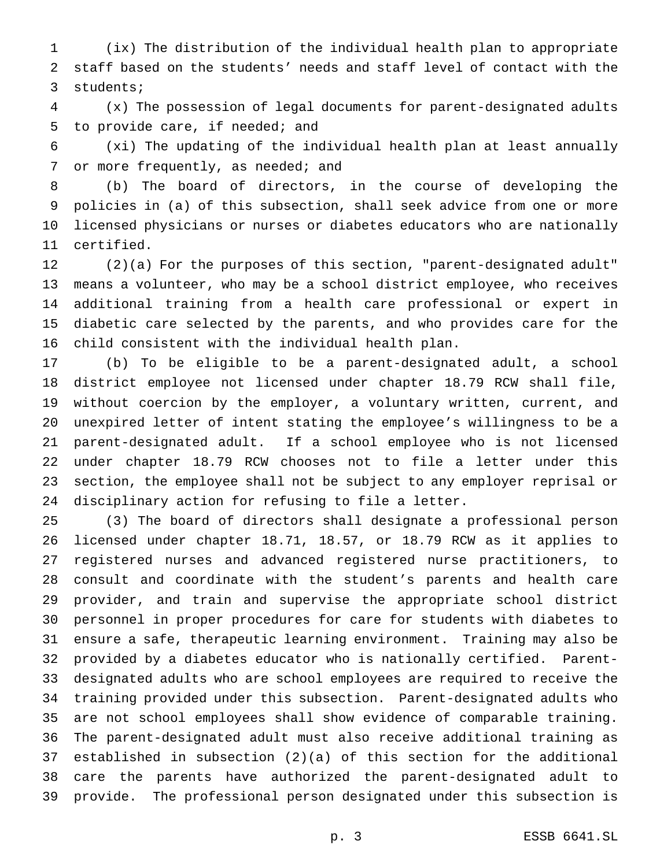(ix) The distribution of the individual health plan to appropriate staff based on the students' needs and staff level of contact with the students;

 (x) The possession of legal documents for parent-designated adults to provide care, if needed; and

 (xi) The updating of the individual health plan at least annually 7 or more frequently, as needed; and

 (b) The board of directors, in the course of developing the policies in (a) of this subsection, shall seek advice from one or more licensed physicians or nurses or diabetes educators who are nationally certified.

 (2)(a) For the purposes of this section, "parent-designated adult" means a volunteer, who may be a school district employee, who receives additional training from a health care professional or expert in diabetic care selected by the parents, and who provides care for the child consistent with the individual health plan.

 (b) To be eligible to be a parent-designated adult, a school district employee not licensed under chapter 18.79 RCW shall file, without coercion by the employer, a voluntary written, current, and unexpired letter of intent stating the employee's willingness to be a parent-designated adult. If a school employee who is not licensed under chapter 18.79 RCW chooses not to file a letter under this section, the employee shall not be subject to any employer reprisal or disciplinary action for refusing to file a letter.

 (3) The board of directors shall designate a professional person licensed under chapter 18.71, 18.57, or 18.79 RCW as it applies to registered nurses and advanced registered nurse practitioners, to consult and coordinate with the student's parents and health care provider, and train and supervise the appropriate school district personnel in proper procedures for care for students with diabetes to ensure a safe, therapeutic learning environment. Training may also be provided by a diabetes educator who is nationally certified. Parent- designated adults who are school employees are required to receive the training provided under this subsection. Parent-designated adults who are not school employees shall show evidence of comparable training. The parent-designated adult must also receive additional training as established in subsection (2)(a) of this section for the additional care the parents have authorized the parent-designated adult to provide. The professional person designated under this subsection is